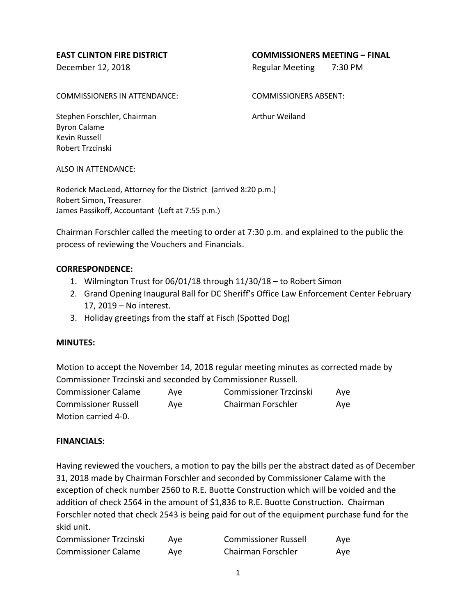# **EAST CLINTON FIRE DISTRICT COMMISSIONERS MEETING – FINAL**

December 12, 2018 **Regular Meeting 7:30 PM** 

COMMISSIONERS IN ATTENDANCE: COMMISSIONERS ABSENT:

Stephen Forschler, Chairman Arthur Weiland Byron Calame Kevin Russell Robert Trzcinski

ALSO IN ATTENDANCE:

Roderick MacLeod, Attorney for the District (arrived 8:20 p.m.) Robert Simon, Treasurer James Passikoff, Accountant (Left at 7:55 p.m.)

Chairman Forschler called the meeting to order at 7:30 p.m. and explained to the public the process of reviewing the Vouchers and Financials.

### **CORRESPONDENCE:**

- 1. Wilmington Trust for 06/01/18 through 11/30/18 to Robert Simon
- 2. Grand Opening Inaugural Ball for DC Sheriff's Office Law Enforcement Center February 17, 2019 – No interest.
- 3. Holiday greetings from the staff at Fisch (Spotted Dog)

### **MINUTES:**

Motion to accept the November 14, 2018 regular meeting minutes as corrected made by Commissioner Trzcinski and seconded by Commissioner Russell.

| <b>Commissioner Calame</b>  | Ave | <b>Commissioner Trzcinski</b> | Ave |
|-----------------------------|-----|-------------------------------|-----|
| <b>Commissioner Russell</b> | Ave | Chairman Forschler            | Ave |
| Motion carried 4-0.         |     |                               |     |

### **FINANCIALS:**

Having reviewed the vouchers, a motion to pay the bills per the abstract dated as of December 31, 2018 made by Chairman Forschler and seconded by Commissioner Calame with the exception of check number 2560 to R.E. Buotte Construction which will be voided and the addition of check 2564 in the amount of \$1,836 to R.E. Buotte Construction. Chairman Forschler noted that check 2543 is being paid for out of the equipment purchase fund for the skid unit.

| <b>Commissioner Trzcinski</b> | Ave | <b>Commissioner Russell</b> | Ave |
|-------------------------------|-----|-----------------------------|-----|
| <b>Commissioner Calame</b>    | Ave | Chairman Forschler          | Ave |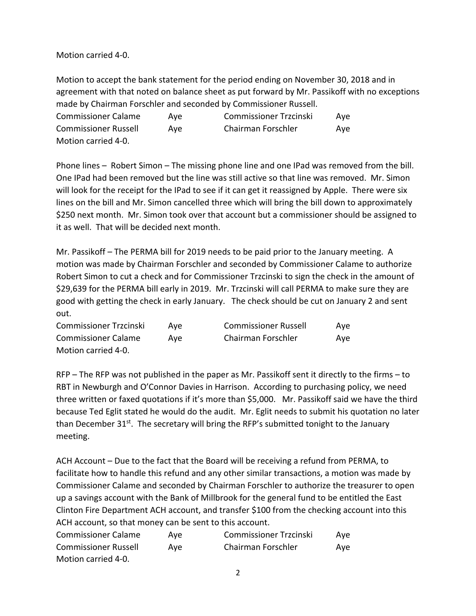Motion carried 4-0.

Motion to accept the bank statement for the period ending on November 30, 2018 and in agreement with that noted on balance sheet as put forward by Mr. Passikoff with no exceptions made by Chairman Forschler and seconded by Commissioner Russell.

| <b>Commissioner Calame</b>  | Ave | <b>Commissioner Trzcinski</b> | Ave |
|-----------------------------|-----|-------------------------------|-----|
| <b>Commissioner Russell</b> | Ave | Chairman Forschler            | Ave |
| Motion carried 4-0.         |     |                               |     |

Phone lines – Robert Simon – The missing phone line and one IPad was removed from the bill. One IPad had been removed but the line was still active so that line was removed. Mr. Simon will look for the receipt for the IPad to see if it can get it reassigned by Apple. There were six lines on the bill and Mr. Simon cancelled three which will bring the bill down to approximately \$250 next month. Mr. Simon took over that account but a commissioner should be assigned to it as well. That will be decided next month.

Mr. Passikoff – The PERMA bill for 2019 needs to be paid prior to the January meeting. A motion was made by Chairman Forschler and seconded by Commissioner Calame to authorize Robert Simon to cut a check and for Commissioner Trzcinski to sign the check in the amount of \$29,639 for the PERMA bill early in 2019. Mr. Trzcinski will call PERMA to make sure they are good with getting the check in early January. The check should be cut on January 2 and sent out.

| <b>Commissioner Trzcinski</b> | Ave | <b>Commissioner Russell</b> | Aye |
|-------------------------------|-----|-----------------------------|-----|
| <b>Commissioner Calame</b>    | Ave | Chairman Forschler          | Ave |
| Motion carried 4-0.           |     |                             |     |

RFP – The RFP was not published in the paper as Mr. Passikoff sent it directly to the firms – to RBT in Newburgh and O'Connor Davies in Harrison. According to purchasing policy, we need three written or faxed quotations if it's more than \$5,000. Mr. Passikoff said we have the third because Ted Eglit stated he would do the audit. Mr. Eglit needs to submit his quotation no later than December  $31^{st}$ . The secretary will bring the RFP's submitted tonight to the January meeting.

ACH Account – Due to the fact that the Board will be receiving a refund from PERMA, to facilitate how to handle this refund and any other similar transactions, a motion was made by Commissioner Calame and seconded by Chairman Forschler to authorize the treasurer to open up a savings account with the Bank of Millbrook for the general fund to be entitled the East Clinton Fire Department ACH account, and transfer \$100 from the checking account into this ACH account, so that money can be sent to this account.

| <b>Commissioner Calame</b>  | Ave | <b>Commissioner Trzcinski</b> | Ave |
|-----------------------------|-----|-------------------------------|-----|
| <b>Commissioner Russell</b> | Ave | Chairman Forschler            | Ave |
| Motion carried 4-0.         |     |                               |     |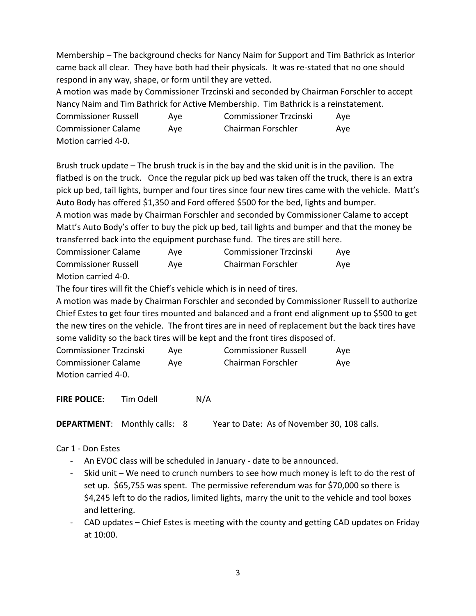Membership – The background checks for Nancy Naim for Support and Tim Bathrick as Interior came back all clear. They have both had their physicals. It was re-stated that no one should respond in any way, shape, or form until they are vetted.

A motion was made by Commissioner Trzcinski and seconded by Chairman Forschler to accept Nancy Naim and Tim Bathrick for Active Membership. Tim Bathrick is a reinstatement.

| <b>Commissioner Russell</b> | Ave | <b>Commissioner Trzcinski</b> | Ave |
|-----------------------------|-----|-------------------------------|-----|
| <b>Commissioner Calame</b>  | Ave | Chairman Forschler            | Ave |
| Motion carried 4-0.         |     |                               |     |

Brush truck update – The brush truck is in the bay and the skid unit is in the pavilion. The flatbed is on the truck. Once the regular pick up bed was taken off the truck, there is an extra pick up bed, tail lights, bumper and four tires since four new tires came with the vehicle. Matt's Auto Body has offered \$1,350 and Ford offered \$500 for the bed, lights and bumper.

A motion was made by Chairman Forschler and seconded by Commissioner Calame to accept Matt's Auto Body's offer to buy the pick up bed, tail lights and bumper and that the money be transferred back into the equipment purchase fund. The tires are still here.

| <b>Commissioner Calame</b>  | Ave | <b>Commissioner Trzcinski</b> | Ave |
|-----------------------------|-----|-------------------------------|-----|
| <b>Commissioner Russell</b> | Ave | Chairman Forschler            | Ave |
| Motion carried 4-0.         |     |                               |     |

The four tires will fit the Chief's vehicle which is in need of tires.

A motion was made by Chairman Forschler and seconded by Commissioner Russell to authorize Chief Estes to get four tires mounted and balanced and a front end alignment up to \$500 to get the new tires on the vehicle. The front tires are in need of replacement but the back tires have some validity so the back tires will be kept and the front tires disposed of.

| <b>Commissioner Trzcinski</b> | Ave | <b>Commissioner Russell</b> | Ave |
|-------------------------------|-----|-----------------------------|-----|
| <b>Commissioner Calame</b>    | Ave | Chairman Forschler          | Ave |
| Motion carried 4-0.           |     |                             |     |

**FIRE POLICE:** Tim Odell N/A

**DEPARTMENT:** Monthly calls: 8 Year to Date: As of November 30, 108 calls.

# Car 1 - Don Estes

- An EVOC class will be scheduled in January date to be announced.
- Skid unit We need to crunch numbers to see how much money is left to do the rest of set up. \$65,755 was spent. The permissive referendum was for \$70,000 so there is \$4,245 left to do the radios, limited lights, marry the unit to the vehicle and tool boxes and lettering.
- CAD updates Chief Estes is meeting with the county and getting CAD updates on Friday at 10:00.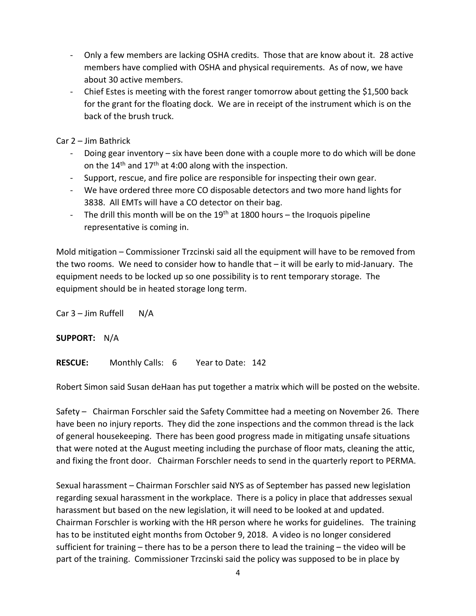- Only a few members are lacking OSHA credits. Those that are know about it. 28 active members have complied with OSHA and physical requirements. As of now, we have about 30 active members.
- Chief Estes is meeting with the forest ranger tomorrow about getting the \$1,500 back for the grant for the floating dock. We are in receipt of the instrument which is on the back of the brush truck.

Car 2 – Jim Bathrick

- Doing gear inventory  $-$  six have been done with a couple more to do which will be done on the  $14<sup>th</sup>$  and  $17<sup>th</sup>$  at 4:00 along with the inspection.
- Support, rescue, and fire police are responsible for inspecting their own gear.
- We have ordered three more CO disposable detectors and two more hand lights for 3838. All EMTs will have a CO detector on their bag.
- The drill this month will be on the  $19<sup>th</sup>$  at 1800 hours the Iroquois pipeline representative is coming in.

Mold mitigation – Commissioner Trzcinski said all the equipment will have to be removed from the two rooms. We need to consider how to handle that – it will be early to mid-January. The equipment needs to be locked up so one possibility is to rent temporary storage. The equipment should be in heated storage long term.

Car  $3 -$  Jim Ruffell  $N/A$ 

**SUPPORT:** N/A

**RESCUE:** Monthly Calls: 6 Year to Date: 142

Robert Simon said Susan deHaan has put together a matrix which will be posted on the website.

Safety – Chairman Forschler said the Safety Committee had a meeting on November 26. There have been no injury reports. They did the zone inspections and the common thread is the lack of general housekeeping. There has been good progress made in mitigating unsafe situations that were noted at the August meeting including the purchase of floor mats, cleaning the attic, and fixing the front door. Chairman Forschler needs to send in the quarterly report to PERMA.

Sexual harassment – Chairman Forschler said NYS as of September has passed new legislation regarding sexual harassment in the workplace. There is a policy in place that addresses sexual harassment but based on the new legislation, it will need to be looked at and updated. Chairman Forschler is working with the HR person where he works for guidelines. The training has to be instituted eight months from October 9, 2018. A video is no longer considered sufficient for training – there has to be a person there to lead the training – the video will be part of the training. Commissioner Trzcinski said the policy was supposed to be in place by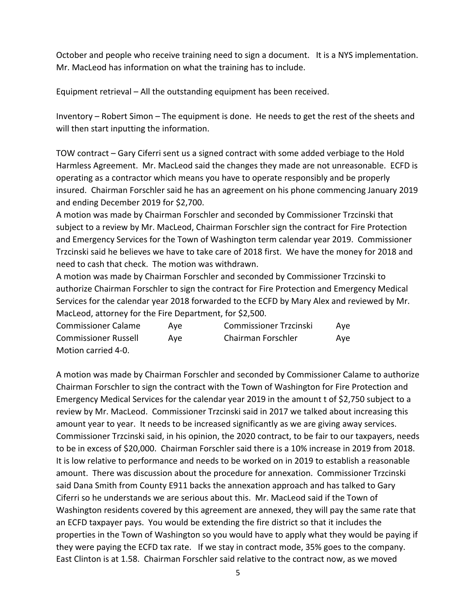October and people who receive training need to sign a document. It is a NYS implementation. Mr. MacLeod has information on what the training has to include.

Equipment retrieval – All the outstanding equipment has been received.

Inventory – Robert Simon – The equipment is done. He needs to get the rest of the sheets and will then start inputting the information.

TOW contract – Gary Ciferri sent us a signed contract with some added verbiage to the Hold Harmless Agreement. Mr. MacLeod said the changes they made are not unreasonable. ECFD is operating as a contractor which means you have to operate responsibly and be properly insured. Chairman Forschler said he has an agreement on his phone commencing January 2019 and ending December 2019 for \$2,700.

A motion was made by Chairman Forschler and seconded by Commissioner Trzcinski that subject to a review by Mr. MacLeod, Chairman Forschler sign the contract for Fire Protection and Emergency Services for the Town of Washington term calendar year 2019. Commissioner Trzcinski said he believes we have to take care of 2018 first. We have the money for 2018 and need to cash that check. The motion was withdrawn.

A motion was made by Chairman Forschler and seconded by Commissioner Trzcinski to authorize Chairman Forschler to sign the contract for Fire Protection and Emergency Medical Services for the calendar year 2018 forwarded to the ECFD by Mary Alex and reviewed by Mr. MacLeod, attorney for the Fire Department, for \$2,500.

| <b>Commissioner Calame</b>  | Ave | <b>Commissioner Trzcinski</b> | Ave |
|-----------------------------|-----|-------------------------------|-----|
| <b>Commissioner Russell</b> | Ave | Chairman Forschler            | Ave |
| Motion carried 4-0.         |     |                               |     |

A motion was made by Chairman Forschler and seconded by Commissioner Calame to authorize Chairman Forschler to sign the contract with the Town of Washington for Fire Protection and Emergency Medical Services for the calendar year 2019 in the amount t of \$2,750 subject to a review by Mr. MacLeod. Commissioner Trzcinski said in 2017 we talked about increasing this amount year to year. It needs to be increased significantly as we are giving away services. Commissioner Trzcinski said, in his opinion, the 2020 contract, to be fair to our taxpayers, needs to be in excess of \$20,000. Chairman Forschler said there is a 10% increase in 2019 from 2018. It is low relative to performance and needs to be worked on in 2019 to establish a reasonable amount. There was discussion about the procedure for annexation. Commissioner Trzcinski said Dana Smith from County E911 backs the annexation approach and has talked to Gary Ciferri so he understands we are serious about this. Mr. MacLeod said if the Town of Washington residents covered by this agreement are annexed, they will pay the same rate that an ECFD taxpayer pays. You would be extending the fire district so that it includes the properties in the Town of Washington so you would have to apply what they would be paying if they were paying the ECFD tax rate. If we stay in contract mode, 35% goes to the company. East Clinton is at 1.58. Chairman Forschler said relative to the contract now, as we moved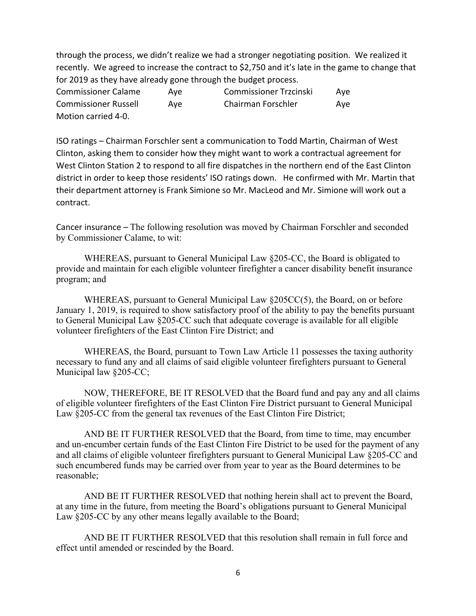through the process, we didn't realize we had a stronger negotiating position. We realized it recently. We agreed to increase the contract to \$2,750 and it's late in the game to change that for 2019 as they have already gone through the budget process.

| <b>Commissioner Calame</b>  | Ave | <b>Commissioner Trzcinski</b> | Ave |
|-----------------------------|-----|-------------------------------|-----|
| <b>Commissioner Russell</b> | Ave | Chairman Forschler            | Ave |
| Motion carried 4-0.         |     |                               |     |

ISO ratings – Chairman Forschler sent a communication to Todd Martin, Chairman of West Clinton, asking them to consider how they might want to work a contractual agreement for West Clinton Station 2 to respond to all fire dispatches in the northern end of the East Clinton district in order to keep those residents' ISO ratings down. He confirmed with Mr. Martin that their department attorney is Frank Simione so Mr. MacLeod and Mr. Simione will work out a contract.

Cancer insurance – The following resolution was moved by Chairman Forschler and seconded by Commissioner Calame, to wit:

WHEREAS, pursuant to General Municipal Law §205-CC, the Board is obligated to provide and maintain for each eligible volunteer firefighter a cancer disability benefit insurance program; and

WHEREAS, pursuant to General Municipal Law §205CC(5), the Board, on or before January 1, 2019, is required to show satisfactory proof of the ability to pay the benefits pursuant to General Municipal Law §205-CC such that adequate coverage is available for all eligible volunteer firefighters of the East Clinton Fire District; and

WHEREAS, the Board, pursuant to Town Law Article 11 possesses the taxing authority necessary to fund any and all claims of said eligible volunteer firefighters pursuant to General Municipal law §205-CC;

NOW, THEREFORE, BE IT RESOLVED that the Board fund and pay any and all claims of eligible volunteer firefighters of the East Clinton Fire District pursuant to General Municipal Law §205-CC from the general tax revenues of the East Clinton Fire District;

AND BE IT FURTHER RESOLVED that the Board, from time to time, may encumber and un-encumber certain funds of the East Clinton Fire District to be used for the payment of any and all claims of eligible volunteer firefighters pursuant to General Municipal Law §205-CC and such encumbered funds may be carried over from year to year as the Board determines to be reasonable;

AND BE IT FURTHER RESOLVED that nothing herein shall act to prevent the Board, at any time in the future, from meeting the Board's obligations pursuant to General Municipal Law §205-CC by any other means legally available to the Board;

AND BE IT FURTHER RESOLVED that this resolution shall remain in full force and effect until amended or rescinded by the Board.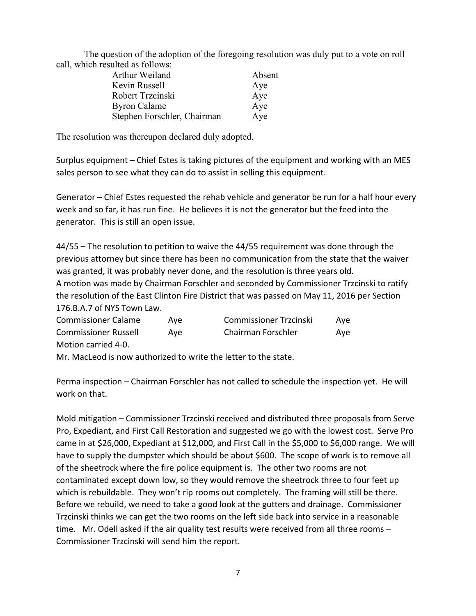The question of the adoption of the foregoing resolution was duly put to a vote on roll call, which resulted as follows:

| Arthur Weiland              | Absent |
|-----------------------------|--------|
| Kevin Russell               | Aye    |
| Robert Trzcinski            | Aye    |
| <b>Byron Calame</b>         | Aye    |
| Stephen Forschler, Chairman | Aye    |

The resolution was thereupon declared duly adopted.

Surplus equipment – Chief Estes is taking pictures of the equipment and working with an MES sales person to see what they can do to assist in selling this equipment.

Generator – Chief Estes requested the rehab vehicle and generator be run for a half hour every week and so far, it has run fine. He believes it is not the generator but the feed into the generator. This is still an open issue.

44/55 – The resolution to petition to waive the 44/55 requirement was done through the previous attorney but since there has been no communication from the state that the waiver was granted, it was probably never done, and the resolution is three years old. A motion was made by Chairman Forschler and seconded by Commissioner Trzcinski to ratify the resolution of the East Clinton Fire District that was passed on May 11, 2016 per Section 176.B.A.7 of NYS Town Law.

| <b>Commissioner Calame</b>  | Ave | <b>Commissioner Trzcinski</b> | Ave |
|-----------------------------|-----|-------------------------------|-----|
| <b>Commissioner Russell</b> | Ave | Chairman Forschler            | Ave |
| Motion carried 4-0.         |     |                               |     |

Mr. MacLeod is now authorized to write the letter to the state.

Perma inspection – Chairman Forschler has not called to schedule the inspection yet. He will work on that.

Mold mitigation – Commissioner Trzcinski received and distributed three proposals from Serve Pro, Expediant, and First Call Restoration and suggested we go with the lowest cost. Serve Pro came in at \$26,000, Expediant at \$12,000, and First Call in the \$5,000 to \$6,000 range. We will have to supply the dumpster which should be about \$600. The scope of work is to remove all of the sheetrock where the fire police equipment is. The other two rooms are not contaminated except down low, so they would remove the sheetrock three to four feet up which is rebuildable. They won't rip rooms out completely. The framing will still be there. Before we rebuild, we need to take a good look at the gutters and drainage. Commissioner Trzcinski thinks we can get the two rooms on the left side back into service in a reasonable time. Mr. Odell asked if the air quality test results were received from all three rooms – Commissioner Trzcinski will send him the report.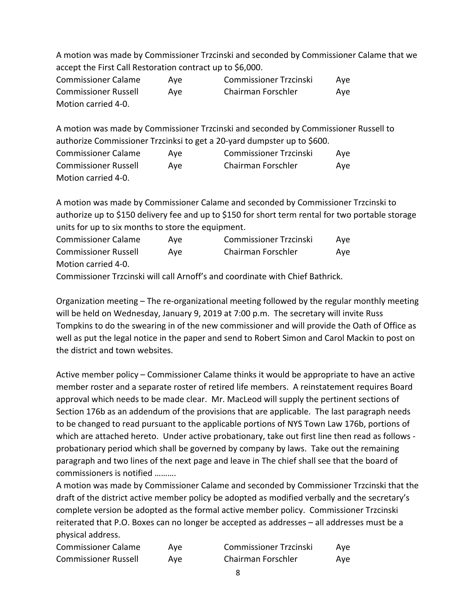A motion was made by Commissioner Trzcinski and seconded by Commissioner Calame that we accept the First Call Restoration contract up to \$6,000.

| <b>Commissioner Calame</b>  | Ave | <b>Commissioner Trzcinski</b> | Ave |
|-----------------------------|-----|-------------------------------|-----|
| <b>Commissioner Russell</b> | Ave | Chairman Forschler            | Ave |
| Motion carried 4-0.         |     |                               |     |

A motion was made by Commissioner Trzcinski and seconded by Commissioner Russell to authorize Commissioner Trzcinksi to get a 20-yard dumpster up to \$600.

| <b>Commissioner Calame</b>  | Ave | <b>Commissioner Trzcinski</b> | Ave |
|-----------------------------|-----|-------------------------------|-----|
| <b>Commissioner Russell</b> | Ave | Chairman Forschler            | Ave |
| Motion carried 4-0.         |     |                               |     |

A motion was made by Commissioner Calame and seconded by Commissioner Trzcinski to authorize up to \$150 delivery fee and up to \$150 for short term rental for two portable storage units for up to six months to store the equipment.

| <b>Commissioner Calame</b>                                                   | Ave | <b>Commissioner Trzcinski</b> | Ave |
|------------------------------------------------------------------------------|-----|-------------------------------|-----|
| <b>Commissioner Russell</b>                                                  | Ave | Chairman Forschler            | Ave |
| Motion carried 4-0.                                                          |     |                               |     |
| Commissioner Trzeinski will soll Arnoff's and soordinate with Chief Bathrick |     |                               |     |

Commissioner Trzcinski will call Arnoff's and coordinate with Chief Bathrick.

Organization meeting – The re-organizational meeting followed by the regular monthly meeting will be held on Wednesday, January 9, 2019 at 7:00 p.m. The secretary will invite Russ Tompkins to do the swearing in of the new commissioner and will provide the Oath of Office as well as put the legal notice in the paper and send to Robert Simon and Carol Mackin to post on the district and town websites.

Active member policy – Commissioner Calame thinks it would be appropriate to have an active member roster and a separate roster of retired life members. A reinstatement requires Board approval which needs to be made clear. Mr. MacLeod will supply the pertinent sections of Section 176b as an addendum of the provisions that are applicable. The last paragraph needs to be changed to read pursuant to the applicable portions of NYS Town Law 176b, portions of which are attached hereto. Under active probationary, take out first line then read as follows probationary period which shall be governed by company by laws. Take out the remaining paragraph and two lines of the next page and leave in The chief shall see that the board of commissioners is notified ……….

A motion was made by Commissioner Calame and seconded by Commissioner Trzcinski that the draft of the district active member policy be adopted as modified verbally and the secretary's complete version be adopted as the formal active member policy. Commissioner Trzcinski reiterated that P.O. Boxes can no longer be accepted as addresses – all addresses must be a physical address.

| <b>Commissioner Calame</b>  | Ave | <b>Commissioner Trzcinski</b> | Ave |
|-----------------------------|-----|-------------------------------|-----|
| <b>Commissioner Russell</b> | Ave | Chairman Forschler            | Ave |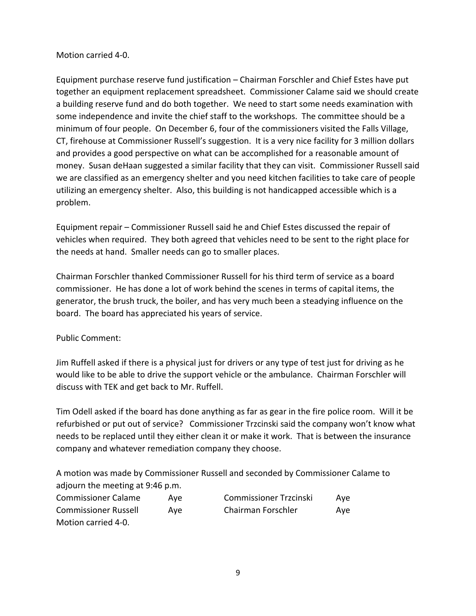# Motion carried 4-0.

Equipment purchase reserve fund justification – Chairman Forschler and Chief Estes have put together an equipment replacement spreadsheet. Commissioner Calame said we should create a building reserve fund and do both together. We need to start some needs examination with some independence and invite the chief staff to the workshops. The committee should be a minimum of four people. On December 6, four of the commissioners visited the Falls Village, CT, firehouse at Commissioner Russell's suggestion. It is a very nice facility for 3 million dollars and provides a good perspective on what can be accomplished for a reasonable amount of money. Susan deHaan suggested a similar facility that they can visit. Commissioner Russell said we are classified as an emergency shelter and you need kitchen facilities to take care of people utilizing an emergency shelter. Also, this building is not handicapped accessible which is a problem.

Equipment repair – Commissioner Russell said he and Chief Estes discussed the repair of vehicles when required. They both agreed that vehicles need to be sent to the right place for the needs at hand. Smaller needs can go to smaller places.

Chairman Forschler thanked Commissioner Russell for his third term of service as a board commissioner. He has done a lot of work behind the scenes in terms of capital items, the generator, the brush truck, the boiler, and has very much been a steadying influence on the board. The board has appreciated his years of service.

Public Comment:

Jim Ruffell asked if there is a physical just for drivers or any type of test just for driving as he would like to be able to drive the support vehicle or the ambulance. Chairman Forschler will discuss with TEK and get back to Mr. Ruffell.

Tim Odell asked if the board has done anything as far as gear in the fire police room. Will it be refurbished or put out of service? Commissioner Trzcinski said the company won't know what needs to be replaced until they either clean it or make it work. That is between the insurance company and whatever remediation company they choose.

A motion was made by Commissioner Russell and seconded by Commissioner Calame to adjourn the meeting at 9:46 p.m.

| <b>Commissioner Calame</b>  | Ave | <b>Commissioner Trzcinski</b> | Ave |
|-----------------------------|-----|-------------------------------|-----|
| <b>Commissioner Russell</b> | Ave | Chairman Forschler            | Ave |
| Motion carried 4-0.         |     |                               |     |